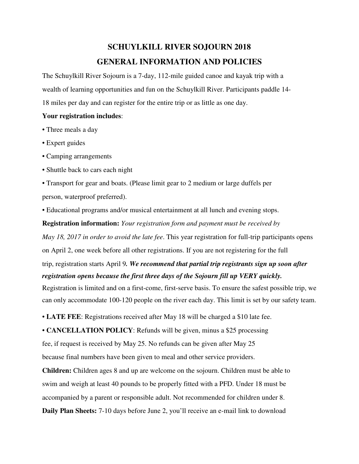# **SCHUYLKILL RIVER SOJOURN 2018 GENERAL INFORMATION AND POLICIES**

The Schuylkill River Sojourn is a 7-day, 112-mile guided canoe and kayak trip with a wealth of learning opportunities and fun on the Schuylkill River. Participants paddle 14- 18 miles per day and can register for the entire trip or as little as one day.

#### **Your registration includes**:

- Three meals a day
- Expert guides
- Camping arrangements
- Shuttle back to cars each night
- Transport for gear and boats. (Please limit gear to 2 medium or large duffels per person, waterproof preferred).
- Educational programs and/or musical entertainment at all lunch and evening stops.

**Registration information:** *Your registration form and payment must be received by May 18, 2017 in order to avoid the late fee*. This year registration for full-trip participants opens on April 2, one week before all other registrations. If you are not registering for the full trip, registration starts April 9*. We recommend that partial trip registrants sign up soon after* 

*registration opens because the first three days of the Sojourn fill up VERY quickly.*

Registration is limited and on a first-come, first-serve basis. To ensure the safest possible trip, we can only accommodate 100-120 people on the river each day. This limit is set by our safety team.

• **LATE FEE**: Registrations received after May 18 will be charged a \$10 late fee.

• **CANCELLATION POLICY**: Refunds will be given, minus a \$25 processing

fee, if request is received by May 25. No refunds can be given after May 25

because final numbers have been given to meal and other service providers.

**Children:** Children ages 8 and up are welcome on the sojourn. Children must be able to swim and weigh at least 40 pounds to be properly fitted with a PFD. Under 18 must be accompanied by a parent or responsible adult. Not recommended for children under 8. **Daily Plan Sheets:** 7-10 days before June 2, you'll receive an e-mail link to download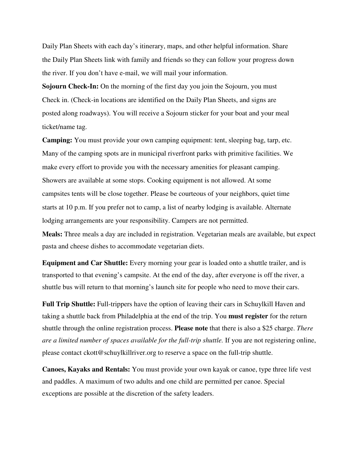Daily Plan Sheets with each day's itinerary, maps, and other helpful information. Share the Daily Plan Sheets link with family and friends so they can follow your progress down the river. If you don't have e-mail, we will mail your information.

**Sojourn Check-In:** On the morning of the first day you join the Sojourn, you must Check in. (Check-in locations are identified on the Daily Plan Sheets, and signs are posted along roadways). You will receive a Sojourn sticker for your boat and your meal ticket/name tag.

**Camping:** You must provide your own camping equipment: tent, sleeping bag, tarp, etc. Many of the camping spots are in municipal riverfront parks with primitive facilities. We make every effort to provide you with the necessary amenities for pleasant camping. Showers are available at some stops. Cooking equipment is not allowed. At some campsites tents will be close together. Please be courteous of your neighbors, quiet time starts at 10 p.m. If you prefer not to camp, a list of nearby lodging is available. Alternate lodging arrangements are your responsibility. Campers are not permitted.

**Meals:** Three meals a day are included in registration. Vegetarian meals are available, but expect pasta and cheese dishes to accommodate vegetarian diets.

**Equipment and Car Shuttle:** Every morning your gear is loaded onto a shuttle trailer, and is transported to that evening's campsite. At the end of the day, after everyone is off the river, a shuttle bus will return to that morning's launch site for people who need to move their cars.

**Full Trip Shuttle:** Full-trippers have the option of leaving their cars in Schuylkill Haven and taking a shuttle back from Philadelphia at the end of the trip. You **must register** for the return shuttle through the online registration process. **Please note** that there is also a \$25 charge. *There are a limited number of spaces available for the full-trip shuttle.* If you are not registering online, please contact ckott@schuylkillriver.org to reserve a space on the full-trip shuttle.

**Canoes, Kayaks and Rentals:** You must provide your own kayak or canoe, type three life vest and paddles. A maximum of two adults and one child are permitted per canoe. Special exceptions are possible at the discretion of the safety leaders.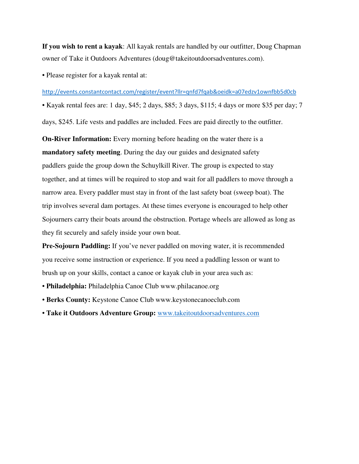**If you wish to rent a kayak**: All kayak rentals are handled by our outfitter, Doug Chapman owner of Take it Outdoors Adventures (doug@takeitoutdoorsadventures.com).

• Please register for a kayak rental at:

#### http://events.constantcontact.com/register/event?llr=qnfd7fqab&oeidk=a07edzv1ownfbb5d0cb

• Kayak rental fees are: 1 day, \$45; 2 days, \$85; 3 days, \$115; 4 days or more \$35 per day; 7

days, \$245. Life vests and paddles are included. Fees are paid directly to the outfitter.

**On-River Information:** Every morning before heading on the water there is a **mandatory safety meeting**. During the day our guides and designated safety paddlers guide the group down the Schuylkill River. The group is expected to stay together, and at times will be required to stop and wait for all paddlers to move through a narrow area. Every paddler must stay in front of the last safety boat (sweep boat). The trip involves several dam portages. At these times everyone is encouraged to help other Sojourners carry their boats around the obstruction. Portage wheels are allowed as long as they fit securely and safely inside your own boat.

**Pre-Sojourn Paddling:** If you've never paddled on moving water, it is recommended you receive some instruction or experience. If you need a paddling lesson or want to brush up on your skills, contact a canoe or kayak club in your area such as:

- **Philadelphia:** Philadelphia Canoe Club www.philacanoe.org
- **Berks County:** Keystone Canoe Club www.keystonecanoeclub.com
- **Take it Outdoors Adventure Group:** www.takeitoutdoorsadventures.com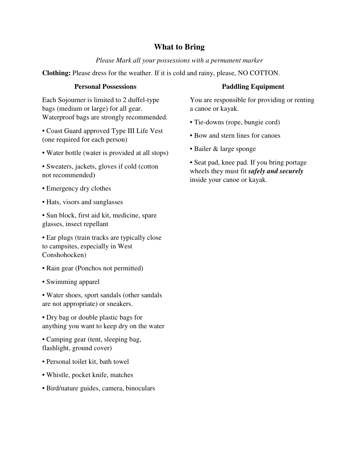# **What to Bring**

## *Please Mark all your possessions with a permanent marker*

**Clothing:** Please dress for the weather. If it is cold and rainy, please, NO COTTON.

#### **Personal Possessions**

Each Sojourner is limited to 2 duffel-type bags (medium or large) for all gear. Waterproof bags are strongly recommended.

- Coast Guard approved Type III Life Vest (one required for each person)
- Water bottle (water is provided at all stops)
- Sweaters, jackets, gloves if cold (cotton not recommended)
- Emergency dry clothes
- Hats, visors and sunglasses
- Sun block, first aid kit, medicine, spare glasses, insect repellant

• Ear plugs (train tracks are typically close to campsites, especially in West Conshohocken)

- Rain gear (Ponchos not permitted)
- Swimming apparel
- Water shoes, sport sandals (other sandals are not appropriate) or sneakers.

• Dry bag or double plastic bags for anything you want to keep dry on the water

• Camping gear (tent, sleeping bag, flashlight, ground cover)

- Personal toilet kit, bath towel
- Whistle, pocket knife, matches
- Bird/nature guides, camera, binoculars

## **Paddling Equipment**

You are responsible for providing or renting a canoe or kayak.

- Tie-downs (rope, bungie cord)
- Bow and stern lines for canoes
- Bailer & large sponge

• Seat pad, knee pad. If you bring portage wheels they must fit *safely and securely*  inside your canoe or kayak.